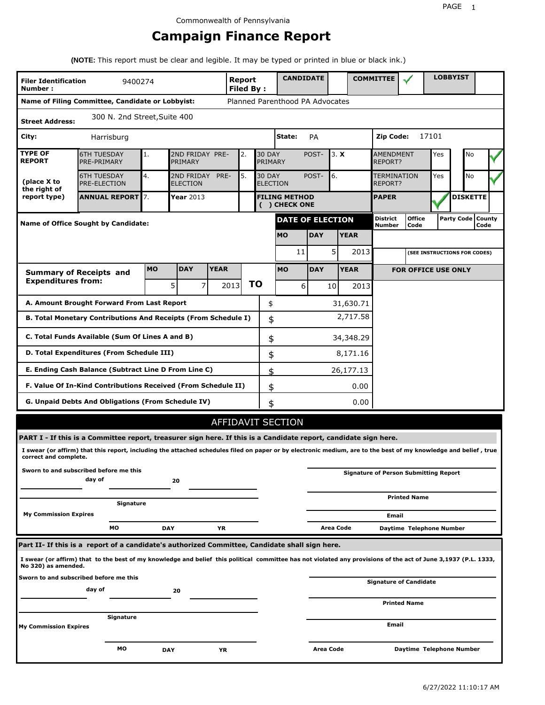# **Campaign Finance Report**

**(NOTE:** This report must be clear and legible. It may be typed or printed in blue or black ink.)

| <b>Filer Identification</b><br>Number: | 9400274                                                                                                                                                         |           |                               |             | Report<br><b>Filed By:</b> |    |                                  | <b>CANDIDATE</b>                      |            |                 |             | <b>COMMITTEE</b>                   |                                              |       | <b>LOBBYIST</b>     |                 |  |
|----------------------------------------|-----------------------------------------------------------------------------------------------------------------------------------------------------------------|-----------|-------------------------------|-------------|----------------------------|----|----------------------------------|---------------------------------------|------------|-----------------|-------------|------------------------------------|----------------------------------------------|-------|---------------------|-----------------|--|
|                                        | Name of Filing Committee, Candidate or Lobbyist:                                                                                                                |           |                               |             |                            |    |                                  | Planned Parenthood PA Advocates       |            |                 |             |                                    |                                              |       |                     |                 |  |
| <b>Street Address:</b>                 | 300 N. 2nd Street, Suite 400                                                                                                                                    |           |                               |             |                            |    |                                  |                                       |            |                 |             |                                    |                                              |       |                     |                 |  |
| City:                                  | Harrisburg                                                                                                                                                      |           |                               |             |                            |    |                                  | State:                                | PA         |                 |             | Zip Code:                          |                                              | 17101 |                     |                 |  |
| <b>TYPE OF</b><br><b>REPORT</b>        | <b>6TH TUESDAY</b><br>PRE-PRIMARY                                                                                                                               | 1.        | 2ND FRIDAY PRE-<br>PRIMARY    |             | 2.                         |    | <b>30 DAY</b><br>PRIMARY         |                                       | POST-      | 3. X            |             | <b>AMENDMENT</b><br><b>REPORT?</b> |                                              | Yes   |                     | No              |  |
| (place X to<br>the right of            | <b>6TH TUESDAY</b><br>PRE-ELECTION                                                                                                                              | 4.        | 2ND FRIDAY<br><b>ELECTION</b> | PRE-        | 5.                         |    | <b>30 DAY</b><br><b>ELECTION</b> |                                       | POST-      | 6.              |             | TERMINATION<br>REPORT?             |                                              | Yes   |                     | No              |  |
| report type)                           | <b>ANNUAL REPORT</b> 7.                                                                                                                                         |           | Year 2013                     |             |                            |    |                                  | <b>FILING METHOD</b><br>( ) CHECK ONE |            |                 |             | <b>PAPER</b>                       |                                              |       |                     | <b>DISKETTE</b> |  |
|                                        | <b>Name of Office Sought by Candidate:</b>                                                                                                                      |           |                               |             |                            |    |                                  | <b>DATE OF ELECTION</b>               |            |                 |             | <b>District</b><br>Number          | <b>Office</b><br>Code                        |       | Party Code   County | Code            |  |
|                                        |                                                                                                                                                                 |           |                               |             |                            |    |                                  | <b>MO</b>                             | <b>DAY</b> |                 | <b>YEAR</b> |                                    |                                              |       |                     |                 |  |
|                                        |                                                                                                                                                                 |           |                               |             |                            |    |                                  | 11                                    |            | 5               | 2013        |                                    | (SEE INSTRUCTIONS FOR CODES)                 |       |                     |                 |  |
|                                        | <b>Summary of Receipts and</b>                                                                                                                                  | <b>MO</b> | <b>DAY</b>                    | <b>YEAR</b> |                            |    |                                  | <b>MO</b>                             | <b>DAY</b> |                 | <b>YEAR</b> |                                    | <b>FOR OFFICE USE ONLY</b>                   |       |                     |                 |  |
| <b>Expenditures from:</b>              |                                                                                                                                                                 |           | 5<br>$\overline{7}$           |             | 2013                       | ΤO |                                  | 6                                     |            | 10 <sup>1</sup> | 2013        |                                    |                                              |       |                     |                 |  |
|                                        | A. Amount Brought Forward From Last Report                                                                                                                      |           |                               |             |                            |    | \$                               |                                       |            |                 | 31,630.71   |                                    |                                              |       |                     |                 |  |
|                                        | B. Total Monetary Contributions And Receipts (From Schedule I)                                                                                                  |           |                               |             |                            |    | \$                               |                                       |            |                 | 2,717.58    |                                    |                                              |       |                     |                 |  |
|                                        | C. Total Funds Available (Sum Of Lines A and B)                                                                                                                 |           |                               |             |                            |    | \$                               |                                       |            |                 | 34,348.29   |                                    |                                              |       |                     |                 |  |
|                                        | D. Total Expenditures (From Schedule III)                                                                                                                       |           |                               |             |                            |    | \$                               |                                       |            |                 | 8,171.16    |                                    |                                              |       |                     |                 |  |
|                                        | E. Ending Cash Balance (Subtract Line D From Line C)                                                                                                            |           |                               |             |                            |    | \$                               |                                       |            |                 | 26,177.13   |                                    |                                              |       |                     |                 |  |
|                                        | F. Value Of In-Kind Contributions Received (From Schedule II)                                                                                                   |           |                               |             |                            |    | \$                               |                                       |            |                 | 0.00        |                                    |                                              |       |                     |                 |  |
|                                        | <b>G. Unpaid Debts And Obligations (From Schedule IV)</b>                                                                                                       |           |                               |             |                            |    | \$                               |                                       |            |                 | 0.00        |                                    |                                              |       |                     |                 |  |
|                                        |                                                                                                                                                                 |           |                               |             |                            |    |                                  | <b>AFFIDAVIT SECTION</b>              |            |                 |             |                                    |                                              |       |                     |                 |  |
|                                        | PART I - If this is a Committee report, treasurer sign here. If this is a Candidate report, candidate sign here.                                                |           |                               |             |                            |    |                                  |                                       |            |                 |             |                                    |                                              |       |                     |                 |  |
| correct and complete.                  | I swear (or affirm) that this report, including the attached schedules filed on paper or by electronic medium, are to the best of my knowledge and belief, true |           |                               |             |                            |    |                                  |                                       |            |                 |             |                                    |                                              |       |                     |                 |  |
|                                        | Sworn to and subscribed before me this<br>day of                                                                                                                |           | 20                            |             |                            |    |                                  |                                       |            |                 |             |                                    | <b>Signature of Person Submitting Report</b> |       |                     |                 |  |
|                                        | Signature                                                                                                                                                       |           |                               |             |                            |    |                                  |                                       |            |                 |             |                                    | <b>Printed Name</b>                          |       |                     |                 |  |
| <b>My Commission Expires</b>           |                                                                                                                                                                 |           |                               |             |                            |    |                                  |                                       |            |                 |             | Email                              |                                              |       |                     |                 |  |
|                                        | MО                                                                                                                                                              |           | <b>DAY</b>                    | ΥR          |                            |    |                                  |                                       |            | Area Code       |             |                                    | Daytime Telephone Number                     |       |                     |                 |  |
|                                        | Part II- If this is a report of a candidate's authorized Committee, Candidate shall sign here.                                                                  |           |                               |             |                            |    |                                  |                                       |            |                 |             |                                    |                                              |       |                     |                 |  |
| No 320) as amended.                    | I swear (or affirm) that to the best of my knowledge and belief this political committee has not violated any provisions of the act of June 3,1937 (P.L. 1333,  |           |                               |             |                            |    |                                  |                                       |            |                 |             |                                    |                                              |       |                     |                 |  |
|                                        | Sworn to and subscribed before me this<br>day of                                                                                                                |           | 20                            |             |                            |    |                                  |                                       |            |                 |             |                                    | Signature of Candidate                       |       |                     |                 |  |
|                                        |                                                                                                                                                                 |           |                               |             |                            |    |                                  |                                       |            |                 |             |                                    | <b>Printed Name</b>                          |       |                     |                 |  |
| <b>My Commission Expires</b>           | Signature                                                                                                                                                       |           |                               |             |                            |    |                                  |                                       |            |                 |             | Email                              |                                              |       |                     |                 |  |
|                                        |                                                                                                                                                                 |           |                               |             |                            |    |                                  |                                       |            |                 |             |                                    |                                              |       |                     |                 |  |
|                                        | МO                                                                                                                                                              |           | <b>DAY</b>                    | YR          |                            |    |                                  |                                       | Area Code  |                 |             |                                    | Daytime Telephone Number                     |       |                     |                 |  |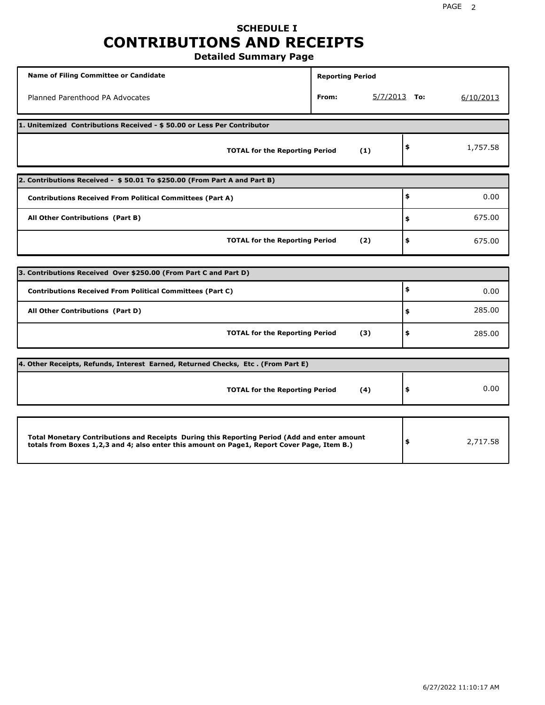## **SCHEDULE I CONTRIBUTIONS AND RECEIPTS Detailed Summary Page**

**Name of Filing Committee or Candidate Reporting Period Reporting Period** Planned Parenthood PA Advocates **From:** 5/7/2013 **To:** 6/10/2013 **1. Unitemized Contributions Received - \$ 50.00 or Less Per Contributor TOTAL for the Reporting Period (1) \$** 1,757.58 **2. Contributions Received - \$ 50.01 To \$250.00 (From Part A and Part B) TOTAL for the Reporting Period (2) Contributions Received From Political Committees (Part A) All Other Contributions (Part B) \$ \$ \$** 0.00 675.00 675.00 **3. Contributions Received Over \$250.00 (From Part C and Part D) TOTAL for the Reporting Period (3) Contributions Received From Political Committees (Part C) All Other Contributions (Part D) \$ \$ \$** 0.00 285.00 285.00 **4. Other Receipts, Refunds, Interest Earned, Returned Checks, Etc . (From Part E) TOTAL for the Reporting Period (4) \$** 0.00 **Total Monetary Contributions and Receipts During this Reporting Period (Add and enter amount totals from Boxes 1,2,3 and 4; also enter this amount on Page1, Report Cover Page, Item B.) \$** 2,717.58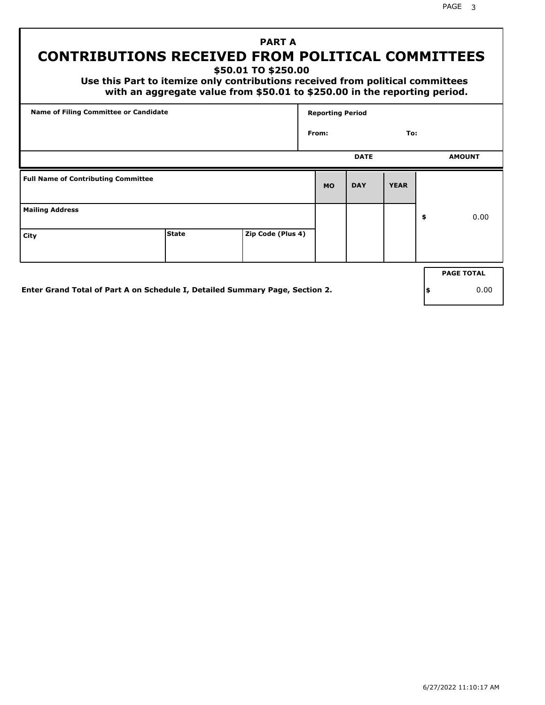PAGE 3

# **PART A CONTRIBUTIONS RECEIVED FROM POLITICAL COMMITTEES**

**\$50.01 TO \$250.00**

 **Use this Part to itemize only contributions received from political committees with an aggregate value from \$50.01 to \$250.00 in the reporting period.**

| Name of Filing Committee or Candidate      |                                                                              |                   | <b>Reporting Period</b> |             |             |     |                   |
|--------------------------------------------|------------------------------------------------------------------------------|-------------------|-------------------------|-------------|-------------|-----|-------------------|
|                                            |                                                                              |                   | From:                   |             | To:         |     |                   |
|                                            |                                                                              |                   |                         | <b>DATE</b> |             |     | <b>AMOUNT</b>     |
| <b>Full Name of Contributing Committee</b> |                                                                              |                   | <b>MO</b>               | <b>DAY</b>  | <b>YEAR</b> |     |                   |
| <b>Mailing Address</b>                     |                                                                              |                   |                         |             |             | \$  | 0.00              |
| City                                       | <b>State</b>                                                                 | Zip Code (Plus 4) |                         |             |             |     |                   |
|                                            |                                                                              |                   |                         |             |             |     | <b>PAGE TOTAL</b> |
|                                            | Enter Grand Total of Part A on Schedule I, Detailed Summary Page, Section 2. |                   |                         |             |             | ∣\$ | 0.00              |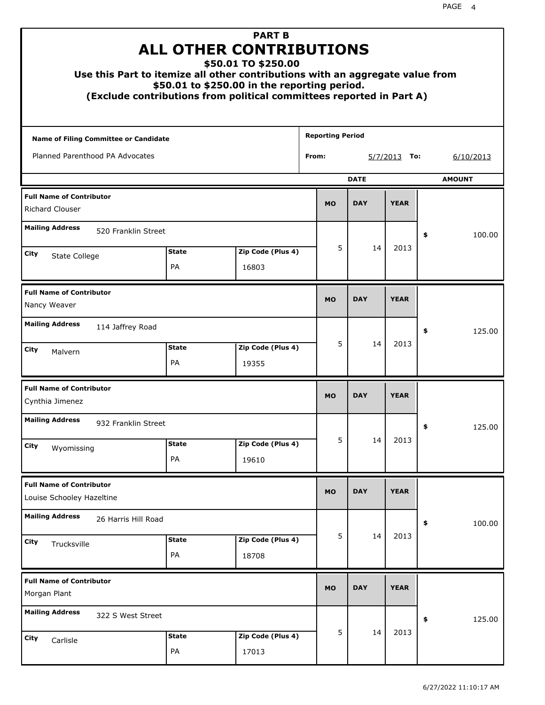| Use this Part to itemize all other contributions with an aggregate value from |                           | <b>PART B</b><br><b>ALL OTHER CONTRIBUTIONS</b><br>\$50.01 TO \$250.00<br>\$50.01 to \$250.00 in the reporting period.<br>(Exclude contributions from political committees reported in Part A) |                         |             |                 |               |
|-------------------------------------------------------------------------------|---------------------------|------------------------------------------------------------------------------------------------------------------------------------------------------------------------------------------------|-------------------------|-------------|-----------------|---------------|
| Name of Filing Committee or Candidate                                         |                           |                                                                                                                                                                                                | <b>Reporting Period</b> |             |                 |               |
| Planned Parenthood PA Advocates                                               |                           |                                                                                                                                                                                                | From:                   |             | 5/7/2013<br>To: | 6/10/2013     |
|                                                                               |                           |                                                                                                                                                                                                |                         | <b>DATE</b> |                 | <b>AMOUNT</b> |
| <b>Full Name of Contributor</b><br>Richard Clouser                            |                           |                                                                                                                                                                                                | <b>MO</b>               | <b>DAY</b>  | <b>YEAR</b>     |               |
| <b>Mailing Address</b><br>520 Franklin Street                                 |                           |                                                                                                                                                                                                |                         |             |                 | \$<br>100.00  |
| City                                                                          | <b>State</b>              | Zip Code (Plus 4)                                                                                                                                                                              | 5                       | 14          | 2013            |               |
| State College                                                                 | <b>PA</b>                 | 16803                                                                                                                                                                                          |                         |             |                 |               |
| <b>Full Name of Contributor</b><br>Nancy Weaver                               |                           |                                                                                                                                                                                                | <b>MO</b>               | <b>DAY</b>  | <b>YEAR</b>     |               |
| <b>Mailing Address</b><br>114 Jaffrey Road                                    |                           |                                                                                                                                                                                                |                         |             |                 | \$<br>125.00  |
| City<br>Malvern                                                               | <b>State</b><br><b>PA</b> | Zip Code (Plus 4)<br>19355                                                                                                                                                                     | 5                       | 14          | 2013            |               |
| <b>Full Name of Contributor</b><br>Cynthia Jimenez                            |                           |                                                                                                                                                                                                | <b>MO</b>               | <b>DAY</b>  | <b>YEAR</b>     |               |
| <b>Mailing Address</b><br>932 Franklin Street                                 |                           |                                                                                                                                                                                                |                         |             |                 | 125.00<br>Ş   |
| City<br>Wyomissing                                                            | <b>State</b><br>PA        | Zip Code (Plus 4)<br>19610                                                                                                                                                                     | 5                       | 14          | 2013            |               |
| <b>Full Name of Contributor</b><br>Louise Schooley Hazeltine                  |                           |                                                                                                                                                                                                | <b>MO</b>               | <b>DAY</b>  | <b>YEAR</b>     |               |
| <b>Mailing Address</b><br>26 Harris Hill Road                                 |                           |                                                                                                                                                                                                |                         |             |                 | \$<br>100.00  |
| City<br>Trucksville                                                           | <b>State</b><br>PA        | Zip Code (Plus 4)<br>18708                                                                                                                                                                     | 5                       | 14          | 2013            |               |
| <b>Full Name of Contributor</b><br>Morgan Plant                               |                           |                                                                                                                                                                                                | <b>MO</b>               | <b>DAY</b>  | <b>YEAR</b>     |               |
| <b>Mailing Address</b><br>322 S West Street                                   |                           |                                                                                                                                                                                                |                         |             |                 | 125.00<br>\$  |
| City<br>Carlisle                                                              | <b>State</b><br>PA        | Zip Code (Plus 4)<br>17013                                                                                                                                                                     | 5                       | 14          | 2013            |               |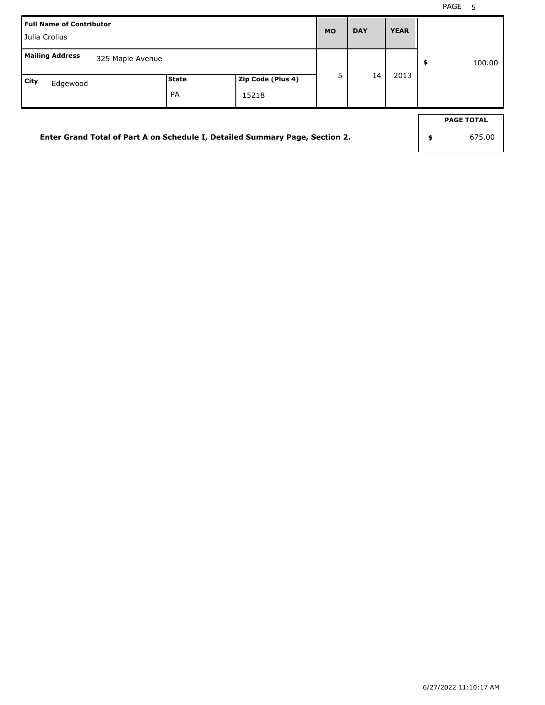| <b>Full Name of Contributor</b><br>Julia Crolius                             |       |                   | <b>MO</b> | <b>DAY</b> | <b>YEAR</b> |                   |
|------------------------------------------------------------------------------|-------|-------------------|-----------|------------|-------------|-------------------|
| <b>Mailing Address</b><br>325 Maple Avenue                                   |       |                   |           |            |             | \$<br>100.00      |
| City<br>Edgewood                                                             | State | Zip Code (Plus 4) | 5         | 14         | 2013        |                   |
|                                                                              | PA    | 15218             |           |            |             |                   |
|                                                                              |       |                   |           |            |             | <b>PAGE TOTAL</b> |
| Enter Grand Total of Part A on Schedule I, Detailed Summary Page, Section 2. |       |                   |           |            |             | \$<br>675.00      |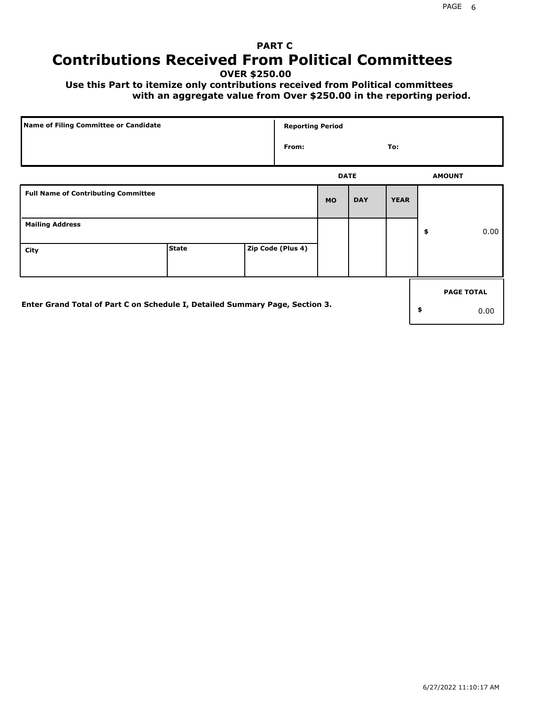# **PART C Contributions Received From Political Committees**

**OVER \$250.00**

 **Use this Part to itemize only contributions received from Political committees with an aggregate value from Over \$250.00 in the reporting period.**

| Name of Filing Committee or Candidate                                        |              | <b>Reporting Period</b> |             |            |             |                   |
|------------------------------------------------------------------------------|--------------|-------------------------|-------------|------------|-------------|-------------------|
|                                                                              |              | From:                   |             |            | To:         |                   |
|                                                                              |              |                         | <b>DATE</b> |            |             | <b>AMOUNT</b>     |
| <b>Full Name of Contributing Committee</b>                                   |              |                         | <b>MO</b>   | <b>DAY</b> | <b>YEAR</b> |                   |
| <b>Mailing Address</b>                                                       |              |                         |             |            |             | \$<br>0.00        |
| City                                                                         | <b>State</b> | Zip Code (Plus 4)       |             |            |             |                   |
|                                                                              |              |                         |             |            |             | <b>PAGE TOTAL</b> |
| Enter Grand Total of Part C on Schedule I, Detailed Summary Page, Section 3. |              |                         |             |            |             | \$<br>0.00        |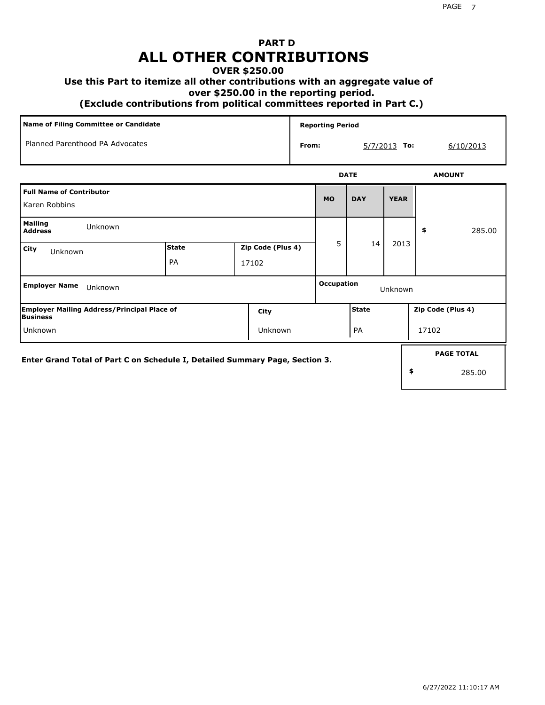# **PART D ALL OTHER CONTRIBUTIONS**

#### **OVER \$250.00**

#### **Use this Part to itemize all other contributions with an aggregate value of**

 **over \$250.00 in the reporting period.**

 **(Exclude contributions from political committees reported in Part C.)** 

| Name of Filing Committee or Candidate                                        |                    |                            |       | <b>Reporting Period</b> |             |                |                   |
|------------------------------------------------------------------------------|--------------------|----------------------------|-------|-------------------------|-------------|----------------|-------------------|
| Planned Parenthood PA Advocates                                              |                    |                            | From: |                         |             | $5/7/2013$ To: | 6/10/2013         |
|                                                                              |                    |                            |       |                         | <b>DATE</b> |                | <b>AMOUNT</b>     |
| <b>Full Name of Contributor</b><br>Karen Robbins                             |                    |                            |       | <b>MO</b>               | <b>DAY</b>  | <b>YEAR</b>    |                   |
| <b>Mailing</b><br>Unknown<br><b>Address</b>                                  |                    |                            |       |                         |             |                | 285.00<br>\$      |
| City<br>Unknown                                                              | <b>State</b><br>PA | Zip Code (Plus 4)<br>17102 |       | 5.                      | 14          | 2013           |                   |
| <b>Employer Name</b><br>Unknown                                              |                    |                            |       | <b>Occupation</b>       |             | Unknown        |                   |
| <b>Employer Mailing Address/Principal Place of</b><br>Business               |                    | City                       |       |                         | State       |                | Zip Code (Plus 4) |
| Unknown                                                                      |                    | Unknown                    |       |                         | PA          |                | 17102             |
| Enter Grand Total of Part C on Schedule I, Detailed Summary Page, Section 3. |                    |                            |       |                         |             |                | <b>PAGE TOTAL</b> |
|                                                                              |                    |                            |       |                         |             |                | \$<br>285.00      |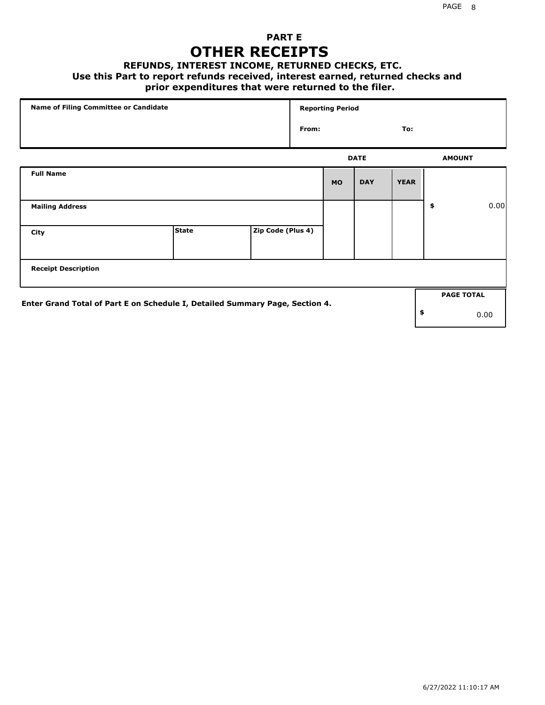## **PART E OTHER RECEIPTS**

#### **REFUNDS, INTEREST INCOME, RETURNED CHECKS, ETC.**

 **Use this Part to report refunds received, interest earned, returned checks and**

### **prior expenditures that were returned to the filer.**

| Name of Filing Committee or Candidate                                        |              |                   |       | <b>Reporting Period</b> |             |             |                   |      |
|------------------------------------------------------------------------------|--------------|-------------------|-------|-------------------------|-------------|-------------|-------------------|------|
|                                                                              |              |                   | From: |                         |             | To:         |                   |      |
|                                                                              |              |                   |       |                         | <b>DATE</b> |             | <b>AMOUNT</b>     |      |
| <b>Full Name</b>                                                             |              |                   |       | <b>MO</b>               | <b>DAY</b>  | <b>YEAR</b> |                   |      |
| <b>Mailing Address</b>                                                       |              |                   |       |                         |             |             | \$                | 0.00 |
| City                                                                         | <b>State</b> | Zip Code (Plus 4) |       |                         |             |             |                   |      |
| <b>Receipt Description</b>                                                   |              |                   |       |                         |             |             |                   |      |
| Enter Grand Total of Part E on Schedule I, Detailed Summary Page, Section 4. |              |                   |       |                         |             |             | <b>PAGE TOTAL</b> |      |
|                                                                              |              |                   |       |                         |             |             | \$                | 0.00 |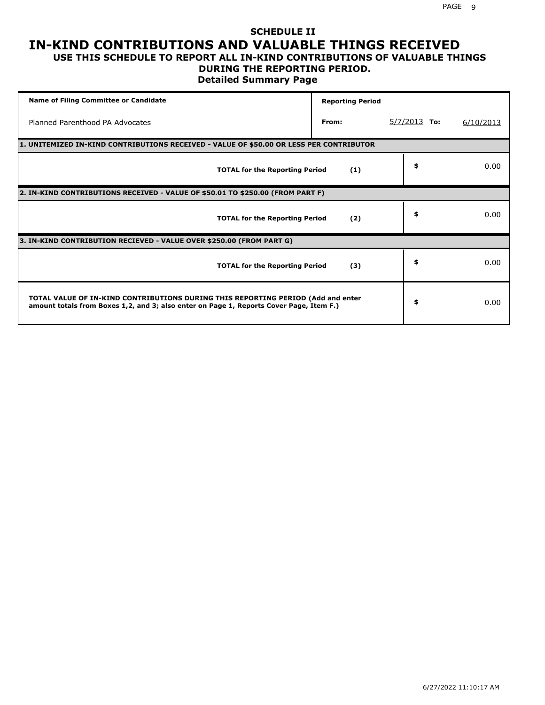#### **SCHEDULE II IN-KIND CONTRIBUTIONS AND VALUABLE THINGS RECEIVED USE THIS SCHEDULE TO REPORT ALL IN-KIND CONTRIBUTIONS OF VALUABLE THINGS**

#### **DURING THE REPORTING PERIOD.**

**Detailed Summary Page**

| <b>Name of Filing Committee or Candidate</b>                                                                                                                                | <b>Reporting Period</b> |                |           |
|-----------------------------------------------------------------------------------------------------------------------------------------------------------------------------|-------------------------|----------------|-----------|
| Planned Parenthood PA Advocates                                                                                                                                             | From:                   | $5/7/2013$ To: | 6/10/2013 |
| 1. UNITEMIZED IN-KIND CONTRIBUTIONS RECEIVED - VALUE OF \$50.00 OR LESS PER CONTRIBUTOR                                                                                     |                         |                |           |
| <b>TOTAL for the Reporting Period</b>                                                                                                                                       | (1)                     | \$             | 0.00      |
| 2. IN-KIND CONTRIBUTIONS RECEIVED - VALUE OF \$50.01 TO \$250.00 (FROM PART F)                                                                                              |                         |                |           |
| <b>TOTAL for the Reporting Period</b>                                                                                                                                       | (2)                     | \$             | 0.00      |
| 3. IN-KIND CONTRIBUTION RECIEVED - VALUE OVER \$250.00 (FROM PART G)                                                                                                        |                         |                |           |
| <b>TOTAL for the Reporting Period</b>                                                                                                                                       | (3)                     | \$             | 0.00      |
| TOTAL VALUE OF IN-KIND CONTRIBUTIONS DURING THIS REPORTING PERIOD (Add and enter<br>amount totals from Boxes 1,2, and 3; also enter on Page 1, Reports Cover Page, Item F.) |                         | \$             | 0.00      |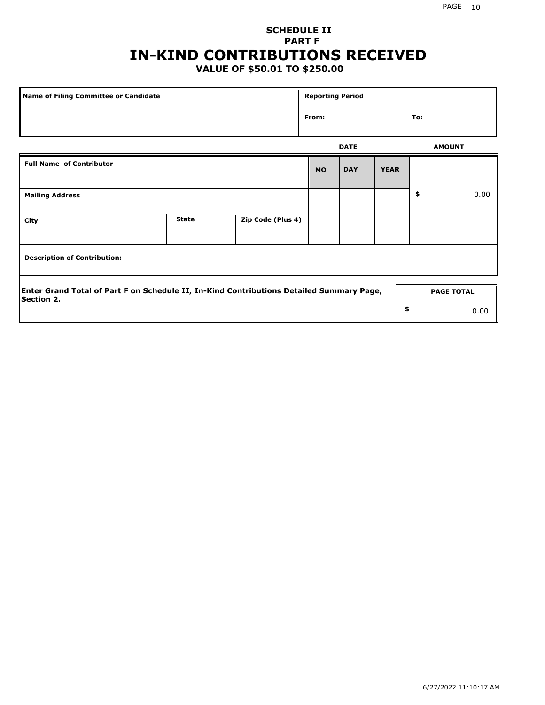## **SCHEDULE II PART F IN-KIND CONTRIBUTIONS RECEIVED**

## **VALUE OF \$50.01 TO \$250.00**

| <b>Name of Filing Committee or Candidate</b>                                                                  |              |                   | <b>Reporting Period</b> |             |             |                   |      |
|---------------------------------------------------------------------------------------------------------------|--------------|-------------------|-------------------------|-------------|-------------|-------------------|------|
|                                                                                                               |              |                   | From:                   |             |             | To:               |      |
|                                                                                                               |              |                   |                         | <b>DATE</b> |             | <b>AMOUNT</b>     |      |
| <b>Full Name of Contributor</b>                                                                               |              |                   | <b>MO</b>               | <b>DAY</b>  | <b>YEAR</b> |                   |      |
| <b>Mailing Address</b>                                                                                        |              |                   |                         |             |             | \$                | 0.00 |
| City                                                                                                          | <b>State</b> | Zip Code (Plus 4) |                         |             |             |                   |      |
| <b>Description of Contribution:</b>                                                                           |              |                   |                         |             |             |                   |      |
| Enter Grand Total of Part F on Schedule II, In-Kind Contributions Detailed Summary Page,<br><b>Section 2.</b> |              |                   |                         |             |             | <b>PAGE TOTAL</b> |      |
|                                                                                                               |              |                   |                         |             | \$          |                   | 0.00 |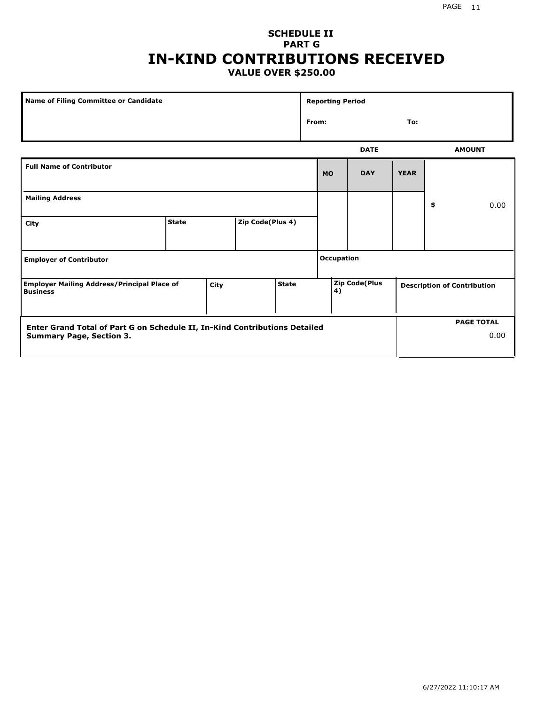#### PAGE 11

#### **SCHEDULE II PART G IN-KIND CONTRIBUTIONS RECEIVED VALUE OVER \$250.00**

| <b>Name of Filing Committee or Candidate</b>                                                                  |              |      |                  |              |       | <b>Reporting Period</b> |                      |             |                                    |      |
|---------------------------------------------------------------------------------------------------------------|--------------|------|------------------|--------------|-------|-------------------------|----------------------|-------------|------------------------------------|------|
|                                                                                                               |              |      |                  |              | From: |                         |                      | To:         |                                    |      |
|                                                                                                               |              |      |                  |              |       |                         | <b>DATE</b>          |             | <b>AMOUNT</b>                      |      |
| <b>Full Name of Contributor</b>                                                                               |              |      |                  |              |       | <b>MO</b>               | <b>DAY</b>           | <b>YEAR</b> |                                    |      |
| <b>Mailing Address</b>                                                                                        |              |      |                  |              |       |                         |                      |             | \$                                 | 0.00 |
| City                                                                                                          | <b>State</b> |      | Zip Code(Plus 4) |              |       |                         |                      |             |                                    |      |
| <b>Employer of Contributor</b>                                                                                |              |      |                  |              |       | <b>Occupation</b>       |                      |             |                                    |      |
| <b>Employer Mailing Address/Principal Place of</b><br><b>Business</b>                                         |              | City |                  | <b>State</b> |       | 4)                      | <b>Zip Code(Plus</b> |             | <b>Description of Contribution</b> |      |
| Enter Grand Total of Part G on Schedule II, In-Kind Contributions Detailed<br><b>Summary Page, Section 3.</b> |              |      |                  |              |       |                         |                      |             | <b>PAGE TOTAL</b>                  | 0.00 |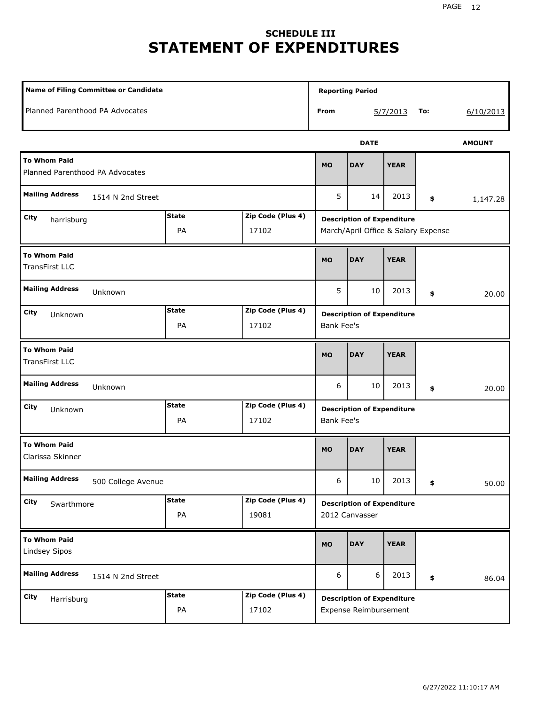# **SCHEDULE III STATEMENT OF EXPENDITURES**

| <b>Name of Filing Committee or Candidate</b>           |                    |                            |                   | <b>Reporting Period</b>                                                  |             |     |               |
|--------------------------------------------------------|--------------------|----------------------------|-------------------|--------------------------------------------------------------------------|-------------|-----|---------------|
| Planned Parenthood PA Advocates                        |                    |                            | From              |                                                                          | 5/7/2013    | To: | 6/10/2013     |
|                                                        |                    |                            |                   | <b>DATE</b>                                                              |             |     | <b>AMOUNT</b> |
| <b>To Whom Paid</b><br>Planned Parenthood PA Advocates |                    |                            | <b>MO</b>         | <b>DAY</b>                                                               | <b>YEAR</b> |     |               |
| <b>Mailing Address</b><br>1514 N 2nd Street            |                    |                            | 5                 | 14                                                                       | 2013        | \$  | 1,147.28      |
| City<br>harrisburg                                     | <b>State</b><br>PA | Zip Code (Plus 4)<br>17102 |                   | <b>Description of Expenditure</b><br>March/April Office & Salary Expense |             |     |               |
| <b>To Whom Paid</b><br><b>TransFirst LLC</b>           |                    |                            | <b>MO</b>         | <b>DAY</b>                                                               | <b>YEAR</b> |     |               |
| <b>Mailing Address</b><br>Unknown                      |                    |                            | 5                 | 10                                                                       | 2013        | \$  | 20.00         |
| City<br>Unknown                                        | <b>State</b><br>PA | Zip Code (Plus 4)<br>17102 | <b>Bank Fee's</b> | <b>Description of Expenditure</b>                                        |             |     |               |
| <b>To Whom Paid</b><br><b>TransFirst LLC</b>           |                    |                            | <b>MO</b>         | <b>DAY</b>                                                               | <b>YEAR</b> |     |               |
| <b>Mailing Address</b><br>Unknown                      |                    |                            | 6                 | 10                                                                       | 2013        | \$  | 20.00         |
| City<br>Unknown                                        | <b>State</b><br>PA | Zip Code (Plus 4)<br>17102 | <b>Bank Fee's</b> | <b>Description of Expenditure</b>                                        |             |     |               |
| <b>To Whom Paid</b><br>Clarissa Skinner                |                    |                            | <b>MO</b>         | <b>DAY</b>                                                               | <b>YEAR</b> |     |               |
| <b>Mailing Address</b><br>500 College Avenue           |                    |                            | 6                 | $10\,$                                                                   | 2013        | \$  | 50.00         |
| <b>City</b><br>Swarthmore                              | <b>State</b><br>PA | Zip Code (Plus 4)<br>19081 |                   | <b>Description of Expenditure</b><br>2012 Canvasser                      |             |     |               |
| <b>To Whom Paid</b><br>Lindsey Sipos                   |                    |                            | <b>MO</b>         | <b>DAY</b>                                                               | <b>YEAR</b> |     |               |
| <b>Mailing Address</b><br>1514 N 2nd Street            |                    |                            | 6                 | 6                                                                        | 2013        | \$  | 86.04         |
| <b>City</b><br>Harrisburg                              | <b>State</b><br>PA | Zip Code (Plus 4)<br>17102 |                   | <b>Description of Expenditure</b><br>Expense Reimbursement               |             |     |               |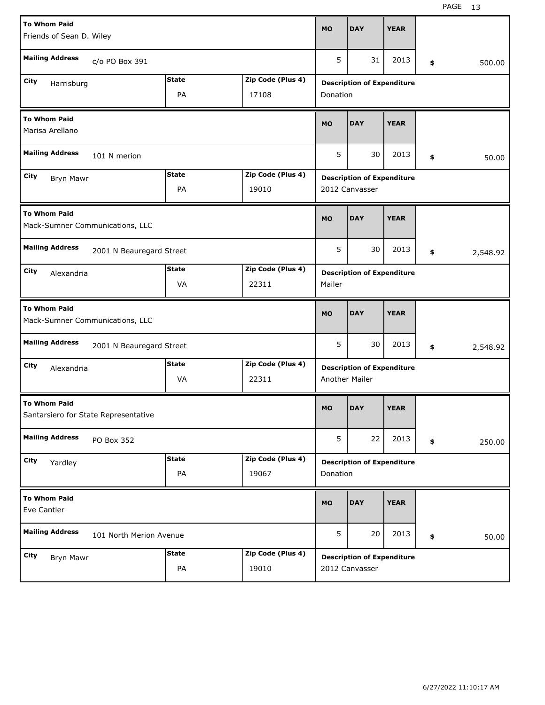| <b>To Whom Paid</b><br>Friends of Sean D. Wiley             |                          |              |                   | <b>MO</b> | <b>DAY</b>                                                 | <b>YEAR</b> |                |
|-------------------------------------------------------------|--------------------------|--------------|-------------------|-----------|------------------------------------------------------------|-------------|----------------|
| <b>Mailing Address</b>                                      | c/o PO Box 391           |              |                   | 5         | 31                                                         | 2013        | \$<br>500.00   |
| City<br>Harrisburg                                          |                          | <b>State</b> | Zip Code (Plus 4) |           | <b>Description of Expenditure</b>                          |             |                |
|                                                             |                          | PA           | 17108             | Donation  |                                                            |             |                |
| <b>To Whom Paid</b><br>Marisa Arellano                      |                          |              |                   | <b>MO</b> | <b>DAY</b>                                                 | <b>YEAR</b> |                |
| <b>Mailing Address</b>                                      | 101 N merion             |              |                   | 5         | 30                                                         | 2013        | \$<br>50.00    |
| City<br>Bryn Mawr                                           |                          | <b>State</b> | Zip Code (Plus 4) |           | <b>Description of Expenditure</b>                          |             |                |
|                                                             |                          | PA           | 19010             |           | 2012 Canvasser                                             |             |                |
| <b>To Whom Paid</b><br>Mack-Sumner Communications, LLC      |                          |              |                   | <b>MO</b> | <b>DAY</b>                                                 | <b>YEAR</b> |                |
| <b>Mailing Address</b>                                      | 2001 N Beauregard Street |              |                   | 5         | 30                                                         | 2013        | \$<br>2,548.92 |
| City<br>Alexandria                                          |                          | <b>State</b> | Zip Code (Plus 4) |           | <b>Description of Expenditure</b>                          |             |                |
|                                                             |                          | VA           | 22311             | Mailer    |                                                            |             |                |
|                                                             |                          |              |                   |           |                                                            |             |                |
| <b>To Whom Paid</b><br>Mack-Sumner Communications, LLC      |                          |              |                   | <b>MO</b> | <b>DAY</b>                                                 | <b>YEAR</b> |                |
| <b>Mailing Address</b>                                      | 2001 N Beauregard Street |              |                   | 5         | 30                                                         | 2013        | \$<br>2,548.92 |
| City                                                        |                          | <b>State</b> | Zip Code (Plus 4) |           |                                                            |             |                |
| Alexandria                                                  |                          | VA           | 22311             |           | <b>Description of Expenditure</b><br><b>Another Mailer</b> |             |                |
| <b>To Whom Paid</b><br>Santarsiero for State Representative |                          |              |                   | <b>MO</b> | <b>DAY</b>                                                 | <b>YEAR</b> |                |
| <b>Mailing Address</b>                                      | PO Box 352               |              |                   | 5         | 22                                                         | 2013        | \$<br>250.00   |
| City                                                        |                          | <b>State</b> | Zip Code (Plus 4) |           | <b>Description of Expenditure</b>                          |             |                |
| Yardley                                                     |                          | PA           | 19067             | Donation  |                                                            |             |                |
| <b>To Whom Paid</b><br>Eve Cantler                          |                          |              |                   | <b>MO</b> | <b>DAY</b>                                                 | <b>YEAR</b> |                |
| <b>Mailing Address</b>                                      | 101 North Merion Avenue  |              |                   | 5         | 20                                                         | 2013        | \$<br>50.00    |
| City<br>Bryn Mawr                                           |                          | <b>State</b> | Zip Code (Plus 4) |           | <b>Description of Expenditure</b>                          |             |                |